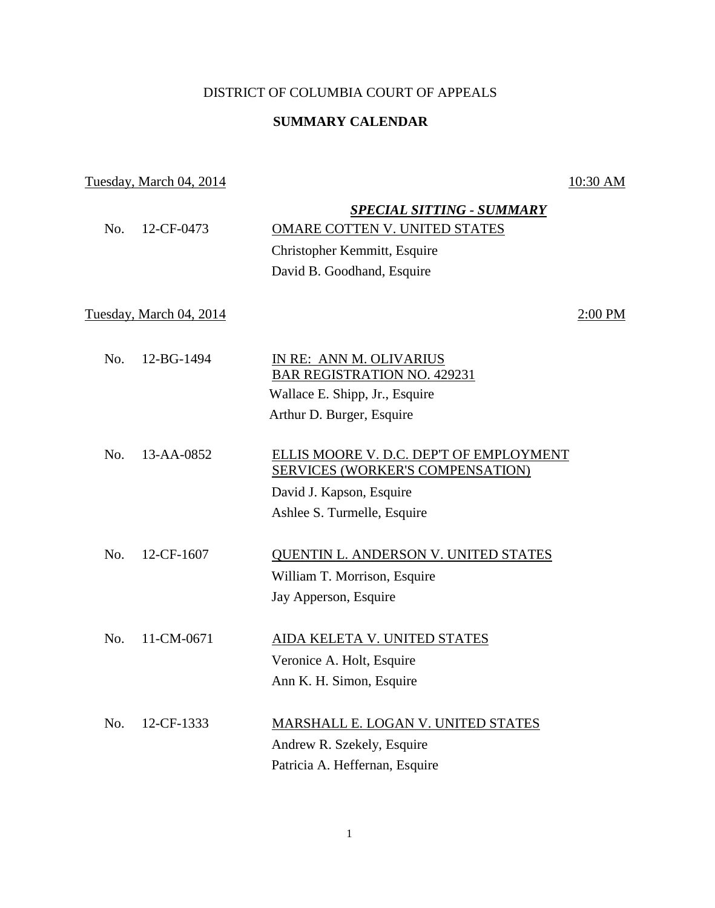## DISTRICT OF COLUMBIA COURT OF APPEALS

## **SUMMARY CALENDAR**

## Tuesday, March 04, 2014 10:30 AM

| No. | 12-CF-0473              | <b>SPECIAL SITTING - SUMMARY</b><br>OMARE COTTEN V. UNITED STATES<br>Christopher Kemmitt, Esquire<br>David B. Goodhand, Esquire |           |
|-----|-------------------------|---------------------------------------------------------------------------------------------------------------------------------|-----------|
|     | Tuesday, March 04, 2014 |                                                                                                                                 | $2:00$ PM |
| No. | 12-BG-1494              | IN RE: ANN M. OLIVARIUS                                                                                                         |           |
|     |                         | <b>BAR REGISTRATION NO. 429231</b>                                                                                              |           |
|     |                         | Wallace E. Shipp, Jr., Esquire                                                                                                  |           |
|     |                         | Arthur D. Burger, Esquire                                                                                                       |           |
|     |                         |                                                                                                                                 |           |
| No. | 13-AA-0852              | ELLIS MOORE V. D.C. DEP'T OF EMPLOYMENT<br>SERVICES (WORKER'S COMPENSATION)                                                     |           |
|     |                         | David J. Kapson, Esquire                                                                                                        |           |
|     |                         | Ashlee S. Turmelle, Esquire                                                                                                     |           |
|     |                         |                                                                                                                                 |           |
| No. | 12-CF-1607              | <b>QUENTIN L. ANDERSON V. UNITED STATES</b>                                                                                     |           |
|     |                         | William T. Morrison, Esquire                                                                                                    |           |
|     |                         | Jay Apperson, Esquire                                                                                                           |           |
|     |                         |                                                                                                                                 |           |
| No. | 11-CM-0671              | <b>AIDA KELETA V. UNITED STATES</b>                                                                                             |           |
|     |                         | Veronice A. Holt, Esquire                                                                                                       |           |
|     |                         | Ann K. H. Simon, Esquire                                                                                                        |           |
| No. | 12-CF-1333              | MARSHALL E. LOGAN V. UNITED STATES                                                                                              |           |
|     |                         | Andrew R. Szekely, Esquire                                                                                                      |           |
|     |                         | Patricia A. Heffernan, Esquire                                                                                                  |           |
|     |                         |                                                                                                                                 |           |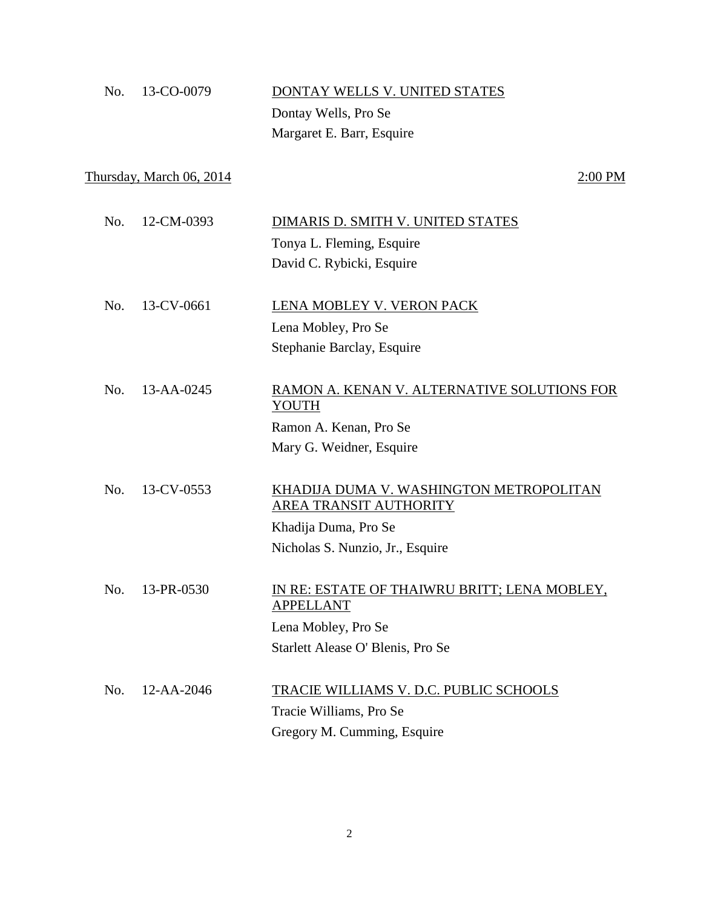| No. | 13-CO-0079                      | DONTAY WELLS V. UNITED STATES                                            |
|-----|---------------------------------|--------------------------------------------------------------------------|
|     |                                 | Dontay Wells, Pro Se                                                     |
|     |                                 | Margaret E. Barr, Esquire                                                |
|     | <u>Thursday, March 06, 2014</u> | 2:00 PM                                                                  |
| No. | 12-CM-0393                      | DIMARIS D. SMITH V. UNITED STATES                                        |
|     |                                 | Tonya L. Fleming, Esquire                                                |
|     |                                 | David C. Rybicki, Esquire                                                |
| No. | 13-CV-0661                      | LENA MOBLEY V. VERON PACK                                                |
|     |                                 | Lena Mobley, Pro Se                                                      |
|     |                                 | Stephanie Barclay, Esquire                                               |
| No. | $13 - AA - 0245$                | RAMON A. KENAN V. ALTERNATIVE SOLUTIONS FOR<br>YOUTH                     |
|     |                                 | Ramon A. Kenan, Pro Se                                                   |
|     |                                 | Mary G. Weidner, Esquire                                                 |
| No. | 13-CV-0553                      | KHADIJA DUMA V. WASHINGTON METROPOLITAN<br><b>AREA TRANSIT AUTHORITY</b> |
|     |                                 | Khadija Duma, Pro Se                                                     |
|     |                                 | Nicholas S. Nunzio, Jr., Esquire                                         |
| No. | 13-PR-0530                      | IN RE: ESTATE OF THAIWRU BRITT; LENA MOBLEY,<br><b>APPELLANT</b>         |
|     |                                 | Lena Mobley, Pro Se                                                      |
|     |                                 | Starlett Alease O' Blenis, Pro Se                                        |
| No. | 12-AA-2046                      | <u>TRACIE WILLIAMS V. D.C. PUBLIC SCHOOLS</u>                            |
|     |                                 | Tracie Williams, Pro Se                                                  |
|     |                                 | Gregory M. Cumming, Esquire                                              |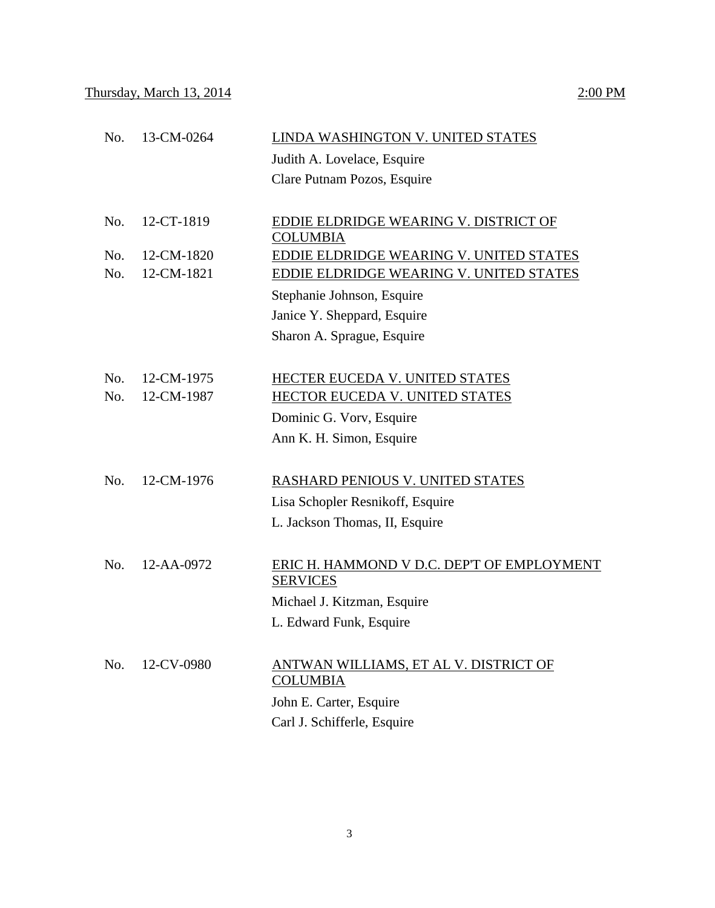| No. | 13-CM-0264 | LINDA WASHINGTON V. UNITED STATES              |
|-----|------------|------------------------------------------------|
|     |            | Judith A. Lovelace, Esquire                    |
|     |            | Clare Putnam Pozos, Esquire                    |
|     |            |                                                |
| No. | 12-CT-1819 | EDDIE ELDRIDGE WEARING V. DISTRICT OF          |
|     |            | <b>COLUMBIA</b>                                |
| No. | 12-CM-1820 | EDDIE ELDRIDGE WEARING V. UNITED STATES        |
| No. | 12-CM-1821 | <b>EDDIE ELDRIDGE WEARING V. UNITED STATES</b> |
|     |            | Stephanie Johnson, Esquire                     |
|     |            | Janice Y. Sheppard, Esquire                    |
|     |            | Sharon A. Sprague, Esquire                     |
|     |            |                                                |
| No. | 12-CM-1975 | HECTER EUCEDA V. UNITED STATES                 |
| No. | 12-CM-1987 | HECTOR EUCEDA V. UNITED STATES                 |
|     |            | Dominic G. Vorv, Esquire                       |
|     |            | Ann K. H. Simon, Esquire                       |
|     |            |                                                |
| No. | 12-CM-1976 | RASHARD PENIOUS V. UNITED STATES               |
|     |            | Lisa Schopler Resnikoff, Esquire               |
|     |            | L. Jackson Thomas, II, Esquire                 |
|     |            |                                                |
| No. | 12-AA-0972 | ERIC H. HAMMOND V D.C. DEP'T OF EMPLOYMENT     |
|     |            | <b>SERVICES</b>                                |
|     |            | Michael J. Kitzman, Esquire                    |
|     |            | L. Edward Funk, Esquire                        |
|     |            |                                                |
| No. | 12-CV-0980 | ANTWAN WILLIAMS, ET AL V. DISTRICT OF          |
|     |            | <b>COLUMBIA</b>                                |
|     |            | John E. Carter, Esquire                        |
|     |            | Carl J. Schifferle, Esquire                    |
|     |            |                                                |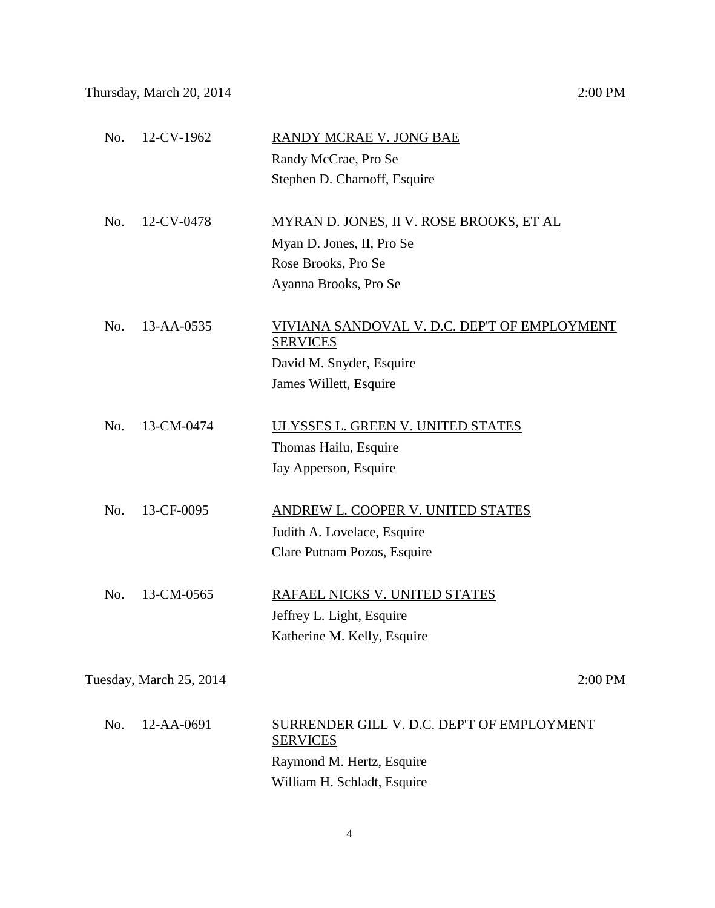| No. | 12-CV-1962              | RANDY MCRAE V. JONG BAE                                         |
|-----|-------------------------|-----------------------------------------------------------------|
|     |                         | Randy McCrae, Pro Se                                            |
|     |                         | Stephen D. Charnoff, Esquire                                    |
| No. | 12-CV-0478              | <b>MYRAN D. JONES, II V. ROSE BROOKS, ET AL</b>                 |
|     |                         | Myan D. Jones, II, Pro Se                                       |
|     |                         | Rose Brooks, Pro Se                                             |
|     |                         | Ayanna Brooks, Pro Se                                           |
| No. | 13-AA-0535              | VIVIANA SANDOVAL V. D.C. DEP'T OF EMPLOYMENT<br><b>SERVICES</b> |
|     |                         | David M. Snyder, Esquire                                        |
|     |                         | James Willett, Esquire                                          |
| No. | 13-CM-0474              | ULYSSES L. GREEN V. UNITED STATES                               |
|     |                         | Thomas Hailu, Esquire                                           |
|     |                         | Jay Apperson, Esquire                                           |
| No. | 13-CF-0095              | ANDREW L. COOPER V. UNITED STATES                               |
|     |                         | Judith A. Lovelace, Esquire                                     |
|     |                         | Clare Putnam Pozos, Esquire                                     |
| No. | 13-CM-0565              | RAFAEL NICKS V. UNITED STATES                                   |
|     |                         | Jeffrey L. Light, Esquire                                       |
|     |                         | Katherine M. Kelly, Esquire                                     |
|     | Tuesday, March 25, 2014 | 2:00 PM                                                         |
|     |                         |                                                                 |
| No. | 12-AA-0691              | SURRENDER GILL V. D.C. DEP'T OF EMPLOYMENT<br><b>SERVICES</b>   |
|     |                         | Raymond M. Hertz, Esquire                                       |
|     |                         | William H. Schladt, Esquire                                     |
|     |                         |                                                                 |